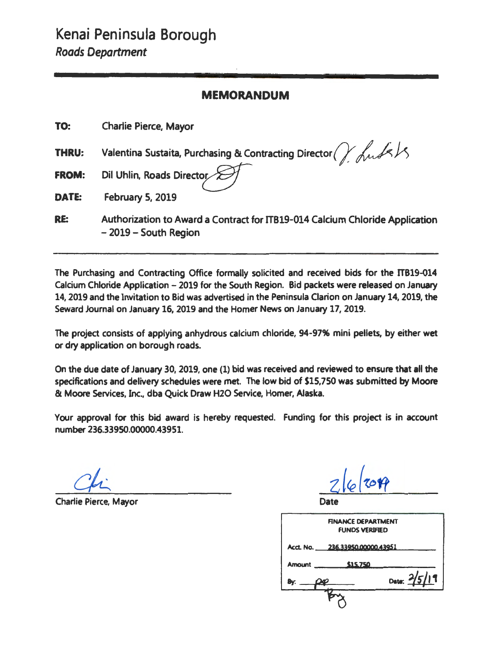## MEMORANDUM

| TO:   | <b>Charlie Pierce, Mayor</b>                                                                           |
|-------|--------------------------------------------------------------------------------------------------------|
| THRU: | Valentina Sustaita, Purchasing & Contracting Director $\left(\right)$ and $\left\langle$               |
| FROM: | Dil Uhlin, Roads Director                                                                              |
| DATE: | <b>February 5, 2019</b>                                                                                |
| RE:   | Authorization to Award a Contract for ITB19-014 Calcium Chloride Application<br>$-2019$ – South Region |

The Purchasing and Contracting Office formally solicited and received bids for the ITB19-014 Calcium Chloride Application - 2019 for the South Region. Bid packets were released on January 14, 2019 and the Invitation to Bid was advertised in the Peninsula Clarion on January 14, 2019, the Seward Journal on January 16, 2019 and the Homer News on January 17, 2019.

The project consists of applying anhydrous calcium chloride, 94-9796 mini pellets, by either wet or dry application on borough roads.

On the due date of January 30, 2019, one (1) bid was received and reviewed to ensure that all the specifications and delivery schedules were met. The low bid of \$15,750 was submitted by Moore & Moore Services, Inc., dba Quick Draw H20 Service, Homer, Alaska.

Your approval for this bid award is hereby requested. Funding for this project is in account number 236.33950.00000.43951.

Charlie Pierce, Mayor

 $6$  2017

|               | <b>FINANCE DEPARTMENT</b><br><b>FUNDS VERIFIED</b> |              |
|---------------|----------------------------------------------------|--------------|
|               | Acct. No. 236.33950.00000.43951                    |              |
| <b>Amount</b> | \$15.750                                           |              |
| Bv.           |                                                    | Date: 2/5/19 |
|               |                                                    |              |